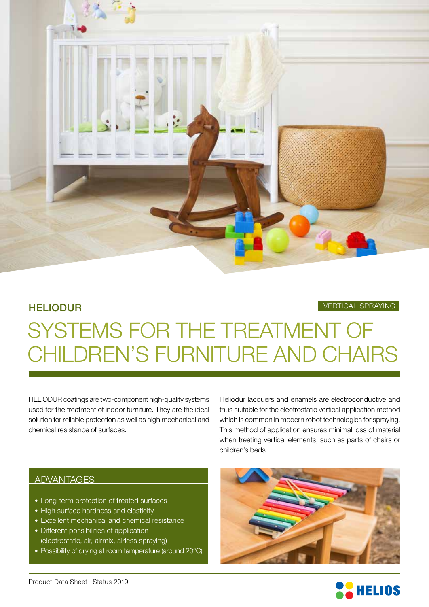

## SYSTEMS FOR THE TREATMENT OF CHILDREN'S FURNITURE AND CHAIRS HELIODUR VERTICAL SPRAYING

HELIODUR coatings are two-component high-quality systems used for the treatment of indoor furniture. They are the ideal solution for reliable protection as well as high mechanical and chemical resistance of surfaces.

Heliodur lacquers and enamels are electroconductive and thus suitable for the electrostatic vertical application method which is common in modern robot technologies for spraying. This method of application ensures minimal loss of material when treating vertical elements, such as parts of chairs or children's beds.

#### **ADVANTAGES**

- Long-term protection of treated surfaces
- High surface hardness and elasticity
- Excellent mechanical and chemical resistance
- Different possibilities of application (electrostatic, air, airmix, airless spraying)
- Possibility of drying at room temperature (around 20°C)



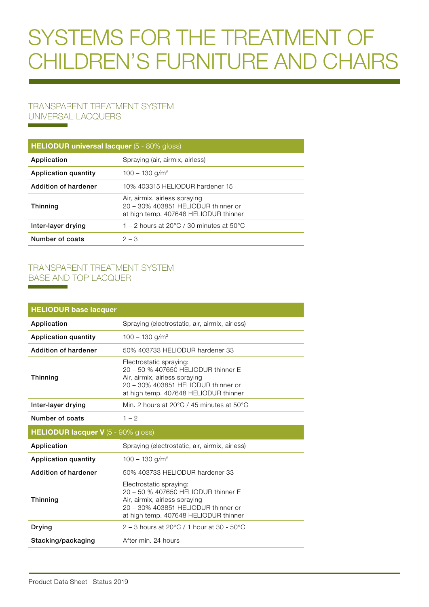# SYSTEMS FOR THE TREATMENT OF CHILDREN'S FURNITURE AND CHAIRS

## TRANSPARENT TREATMENT SYSTEM UNIVERSAL LACQUERS

| <b>HELIODUR universal lacquer</b> (5 - 80% gloss) |                                                                                                               |
|---------------------------------------------------|---------------------------------------------------------------------------------------------------------------|
| Application                                       | Spraying (air, airmix, airless)                                                                               |
| Application quantity                              | $100 - 130$ g/m <sup>2</sup>                                                                                  |
| Addition of hardener                              | 10% 403315 HELIODUR hardener 15                                                                               |
| <b>Thinning</b>                                   | Air, airmix, airless spraying<br>20 - 30% 403851 HELIODUR thinner or<br>at high temp. 407648 HELIODUR thinner |
| Inter-layer drying                                | 1 – 2 hours at 20 $\degree$ C / 30 minutes at 50 $\degree$ C                                                  |
| Number of coats                                   | $2 - 3$                                                                                                       |

#### TRANSPARENT TREATMENT SYSTEM BASE AND TOP LACQUER <u> Tanzania (</u>

| <b>HELIODUR base lacquer</b>       |                                                                                                                                                                                 |
|------------------------------------|---------------------------------------------------------------------------------------------------------------------------------------------------------------------------------|
| Application                        | Spraying (electrostatic, air, airmix, airless)                                                                                                                                  |
| <b>Application quantity</b>        | $100 - 130$ g/m <sup>2</sup>                                                                                                                                                    |
| <b>Addition of hardener</b>        | 50% 403733 HELIODUR hardener 33                                                                                                                                                 |
| <b>Thinning</b>                    | Electrostatic spraying:<br>20 - 50 % 407650 HELIODUR thinner E<br>Air, airmix, airless spraying<br>20 - 30% 403851 HELIODUR thinner or<br>at high temp. 407648 HELIODUR thinner |
| Inter-layer drying                 | Min. 2 hours at 20 $\degree$ C / 45 minutes at 50 $\degree$ C                                                                                                                   |
| Number of coats                    | $1 - 2$                                                                                                                                                                         |
| HELIODUR lacquer V (5 - 90% gloss) |                                                                                                                                                                                 |
| Application                        | Spraying (electrostatic, air, airmix, airless)                                                                                                                                  |
| <b>Application quantity</b>        | $100 - 130$ g/m <sup>2</sup>                                                                                                                                                    |
| <b>Addition of hardener</b>        | 50% 403733 HELIODUR hardener 33                                                                                                                                                 |
| Thinning                           | Electrostatic spraying:<br>20 - 50 % 407650 HELIODUR thinner E<br>Air, airmix, airless spraying<br>20 - 30% 403851 HELIODUR thinner or                                          |
|                                    | at high temp. 407648 HELIODUR thinner                                                                                                                                           |
| Drying                             | $2 - 3$ hours at 20 $^{\circ}$ C / 1 hour at 30 - 50 $^{\circ}$ C                                                                                                               |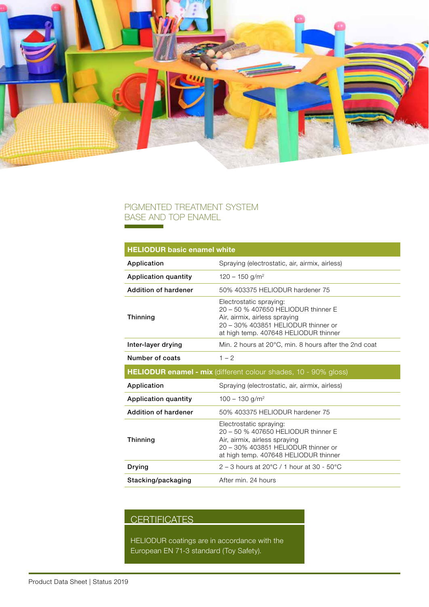

#### PIGMENTED TREATMENT SYSTEM BASE AND TOP ENAMEL

#### HELIODUR basic enamel white

| Application                 | Spraying (electrostatic, air, airmix, airless)                                                                                                                                  |
|-----------------------------|---------------------------------------------------------------------------------------------------------------------------------------------------------------------------------|
| <b>Application quantity</b> | $120 - 150$ g/m <sup>2</sup>                                                                                                                                                    |
| Addition of hardener        | 50% 403375 HELIODUR hardener 75                                                                                                                                                 |
| <b>Thinning</b>             | Electrostatic spraying:<br>20 - 50 % 407650 HELIODUR thinner E<br>Air, airmix, airless spraying<br>20 - 30% 403851 HELIODUR thinner or<br>at high temp. 407648 HELIODUR thinner |
| Inter-layer drying          | Min. 2 hours at 20°C, min. 8 hours after the 2nd coat                                                                                                                           |
| Number of coats             | $1 - 2$                                                                                                                                                                         |
|                             | <b>HELIODUR enamel - mix</b> (different colour shades, 10 - 90% gloss)                                                                                                          |
| Application                 | Spraying (electrostatic, air, airmix, airless)                                                                                                                                  |
| <b>Application quantity</b> | 100 - 130 g/m <sup>2</sup>                                                                                                                                                      |
|                             |                                                                                                                                                                                 |
| <b>Addition of hardener</b> | 50% 403375 HELIODUR hardener 75                                                                                                                                                 |
| <b>Thinning</b>             | Electrostatic spraying:<br>20 - 50 % 407650 HELIODUR thinner E<br>Air, airmix, airless spraying<br>20 - 30% 403851 HELIODUR thinner or<br>at high temp. 407648 HELIODUR thinner |
| Drying                      | $2 - 3$ hours at 20 $\degree$ C / 1 hour at 30 - 50 $\degree$ C                                                                                                                 |

### **CERTIFICATES**

HELIODUR coatings are in accordance with the European EN 71-3 standard (Toy Safety).